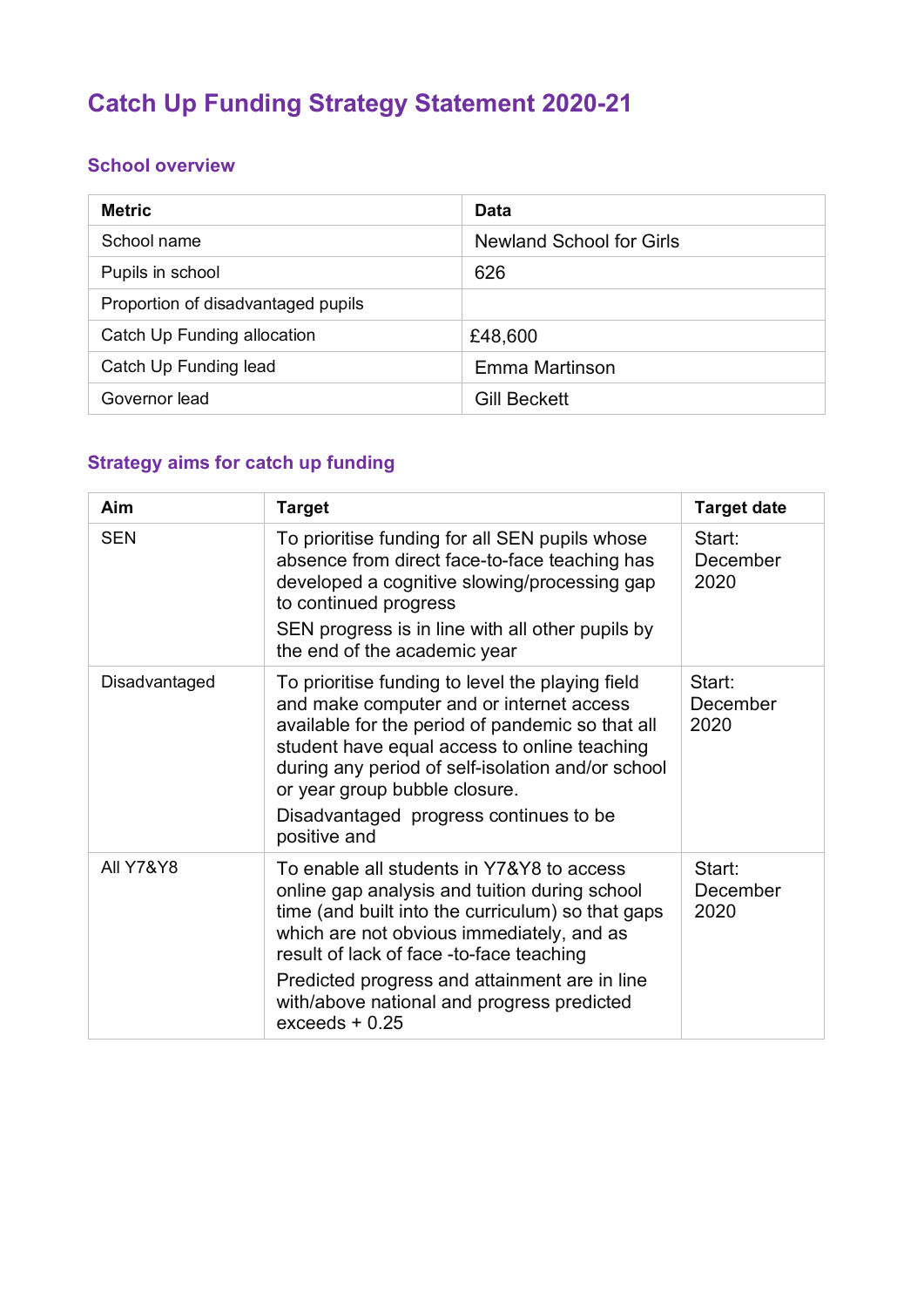# **Catch Up Funding Strategy Statement 2020-21**

#### **School overview**

| <b>Metric</b>                      | Data                            |
|------------------------------------|---------------------------------|
| School name                        | <b>Newland School for Girls</b> |
| Pupils in school                   | 626                             |
| Proportion of disadvantaged pupils |                                 |
| Catch Up Funding allocation        | £48,600                         |
| Catch Up Funding lead              | Emma Martinson                  |
| Governor lead                      | <b>Gill Beckett</b>             |

# **Strategy aims for catch up funding**

| Aim                  | <b>Target</b>                                                                                                                                                                                                                                                                                                                                               | <b>Target date</b>         |
|----------------------|-------------------------------------------------------------------------------------------------------------------------------------------------------------------------------------------------------------------------------------------------------------------------------------------------------------------------------------------------------------|----------------------------|
| <b>SEN</b>           | To prioritise funding for all SEN pupils whose<br>absence from direct face-to-face teaching has<br>developed a cognitive slowing/processing gap<br>to continued progress<br>SEN progress is in line with all other pupils by<br>the end of the academic year                                                                                                | Start:<br>December<br>2020 |
| Disadvantaged        | To prioritise funding to level the playing field<br>and make computer and or internet access<br>available for the period of pandemic so that all<br>student have equal access to online teaching<br>during any period of self-isolation and/or school<br>or year group bubble closure.<br>Disadvantaged progress continues to be<br>positive and            | Start:<br>December<br>2020 |
| <b>All Y7&amp;Y8</b> | To enable all students in Y7&Y8 to access<br>online gap analysis and tuition during school<br>time (and built into the curriculum) so that gaps<br>which are not obvious immediately, and as<br>result of lack of face -to-face teaching<br>Predicted progress and attainment are in line<br>with/above national and progress predicted<br>$exceeds + 0.25$ | Start:<br>December<br>2020 |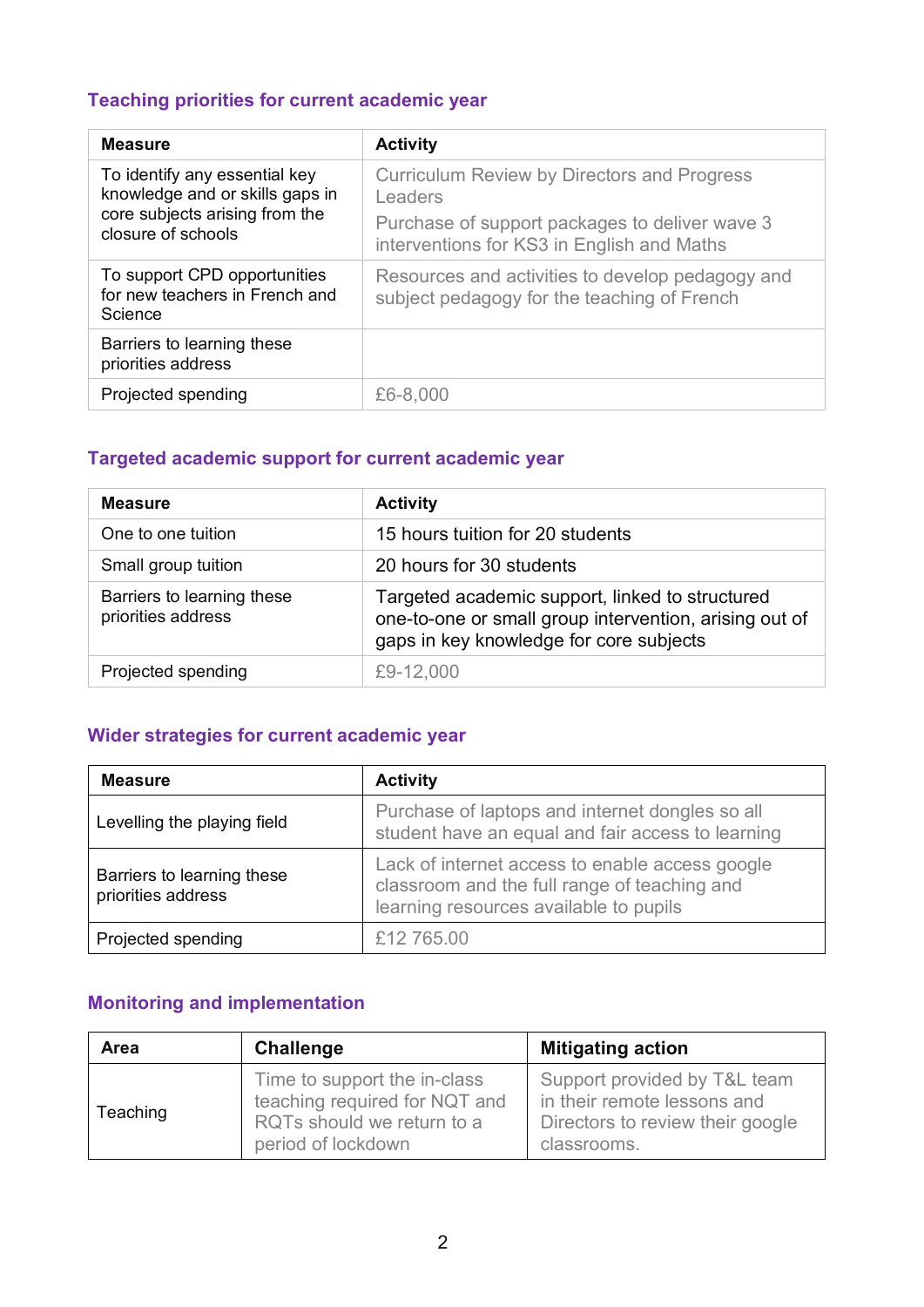## **Teaching priorities for current academic year**

| <b>Measure</b>                                                                                                           | <b>Activity</b>                                                                                 |
|--------------------------------------------------------------------------------------------------------------------------|-------------------------------------------------------------------------------------------------|
| To identify any essential key<br>knowledge and or skills gaps in<br>core subjects arising from the<br>closure of schools | <b>Curriculum Review by Directors and Progress</b><br>Leaders                                   |
|                                                                                                                          | Purchase of support packages to deliver wave 3<br>interventions for KS3 in English and Maths    |
| To support CPD opportunities<br>for new teachers in French and<br>Science                                                | Resources and activities to develop pedagogy and<br>subject pedagogy for the teaching of French |
| Barriers to learning these<br>priorities address                                                                         |                                                                                                 |
| Projected spending                                                                                                       | £6-8,000                                                                                        |

## **Targeted academic support for current academic year**

| <b>Measure</b>                                   | <b>Activity</b>                                                                                                                                      |
|--------------------------------------------------|------------------------------------------------------------------------------------------------------------------------------------------------------|
| One to one tuition                               | 15 hours tuition for 20 students                                                                                                                     |
| Small group tuition                              | 20 hours for 30 students                                                                                                                             |
| Barriers to learning these<br>priorities address | Targeted academic support, linked to structured<br>one-to-one or small group intervention, arising out of<br>gaps in key knowledge for core subjects |
| Projected spending                               | £9-12,000                                                                                                                                            |

#### **Wider strategies for current academic year**

| <b>Measure</b>                                   | <b>Activity</b>                                                                                                                           |
|--------------------------------------------------|-------------------------------------------------------------------------------------------------------------------------------------------|
| Levelling the playing field                      | Purchase of laptops and internet dongles so all<br>student have an equal and fair access to learning                                      |
| Barriers to learning these<br>priorities address | Lack of internet access to enable access google<br>classroom and the full range of teaching and<br>learning resources available to pupils |
| Projected spending                               | £12 765.00                                                                                                                                |

# **Monitoring and implementation**

| Area     | <b>Challenge</b>                                                                                                  | <b>Mitigating action</b>                                                                                       |
|----------|-------------------------------------------------------------------------------------------------------------------|----------------------------------------------------------------------------------------------------------------|
| Teaching | Time to support the in-class<br>teaching required for NQT and<br>RQTs should we return to a<br>period of lockdown | Support provided by T&L team<br>in their remote lessons and<br>Directors to review their google<br>classrooms. |